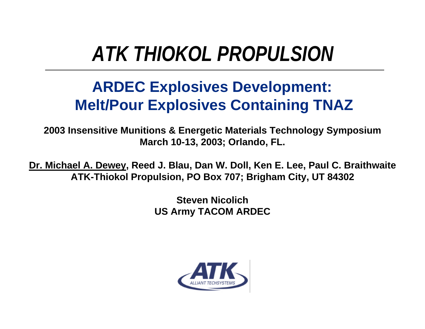# *ATK THIOKOL PROPULSION*

#### **ARDEC Explosives Development: Melt/Pour Explosives Containing TNAZ**

**2003 Insensitive Munitions & Energetic Materials Technology Symposium March 10-13, 2003; Orlando, FL.**

**Dr. Michael A. Dewey, Reed J. Blau, Dan W. Doll, Ken E. Lee, Paul C. Braithwaite ATK-Thiokol Propulsion, PO Box 707; Brigham City, UT 84302**

> **Steven Nicolich US Army TACOM ARDEC**

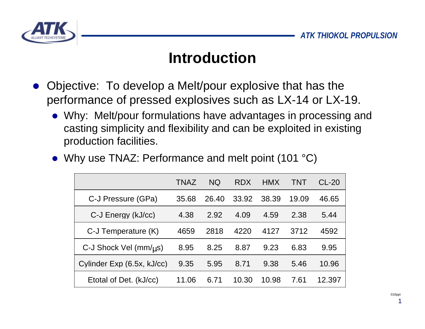

#### **Introduction**

- l Objective: To develop a Melt/pour explosive that has the performance of pressed explosives such as LX-14 or LX-19.
	- Why: Melt/pour formulations have advantages in processing and casting simplicity and flexibility and can be exploited in existing production facilities.

|                                         | <b>TNAZ</b> | <b>NQ</b> | <b>RDX</b> | <b>HMX</b> | TNT   | $CL-20$ |
|-----------------------------------------|-------------|-----------|------------|------------|-------|---------|
| C-J Pressure (GPa)                      | 35.68       | 26.40     | 33.92      | 38.39      | 19.09 | 46.65   |
| C-J Energy (kJ/cc)                      | 4.38        | 2.92      | 4.09       | 4.59       | 2.38  | 5.44    |
| C-J Temperature (K)                     | 4659        | 2818      | 4220       | 4127       | 3712  | 4592    |
| C-J Shock Vel $\text{(mm/}\mu\text{s)}$ | 8.95        | 8.25      | 8.87       | 9.23       | 6.83  | 9.95    |
| Cylinder Exp (6.5x, kJ/cc)              | 9.35        | 5.95      | 8.71       | 9.38       | 5.46  | 10.96   |
| Etotal of Det. (kJ/cc)                  | 11.06       | 6.71      | 10.30      | 10.98      | 7.61  | 12.397  |

• Why use TNAZ: Performance and melt point (101  $^{\circ}$ C)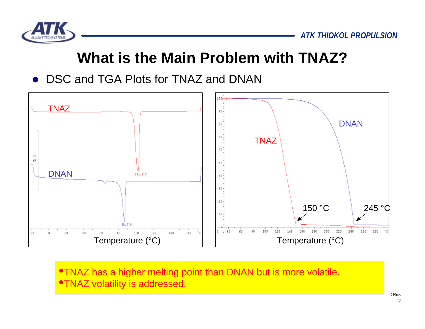

#### **What is the Main Problem with TNAZ?**

DSC and TGA Plots for TNAZ and DNAN



•TNAZ has a higher melting point than DNAN but is more volatile. **•TNAZ volatility is addressed.**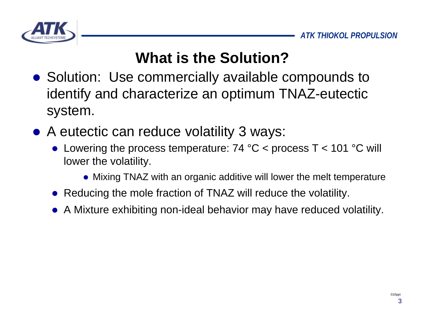

# **What is the Solution?**

- Solution: Use commercially available compounds to identify and characterize an optimum TNAZ-eutectic system.
- A eutectic can reduce volatility 3 ways:
	- Lowering the process temperature:  $74 °C$  < process T < 101 °C will lower the volatility.
		- Mixing TNAZ with an organic additive will lower the melt temperature
	- Reducing the mole fraction of TNAZ will reduce the volatility.
	- A Mixture exhibiting non-ideal behavior may have reduced volatility.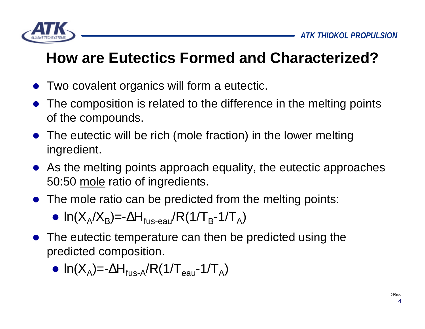

## **How are Eutectics Formed and Characterized?**

- Two covalent organics will form a eutectic.
- The composition is related to the difference in the melting points of the compounds.
- $\bullet$  The eutectic will be rich (mole fraction) in the lower melting ingredient.
- $\bullet$  As the melting points approach equality, the eutectic approaches 50:50 mole ratio of ingredients.
- The mole ratio can be predicted from the melting points:

$$
\bullet \ \ln(X_A/X_B) = -\Delta H_{\text{fus-eau}}/R(1/T_B - 1/T_A)
$$

The eutectic temperature can then be predicted using the predicted composition.

$$
\bullet \ \ln(X_A) = -\Delta H_{\text{fus-A}} / R \left( 1/T_{\text{eau}} - 1/T_A \right)
$$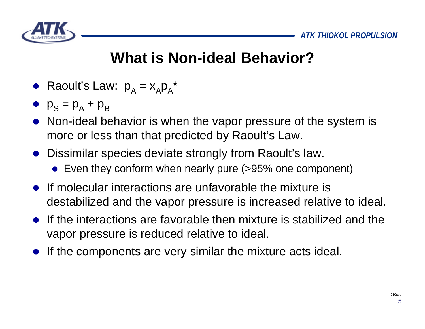

## **What is Non-ideal Behavior?**

- Raoult's Law:  $p_A = x_A p_A^*$
- $p_S = p_A + p_B$
- Non-ideal behavior is when the vapor pressure of the system is more or less than that predicted by Raoult's Law.
- Dissimilar species deviate strongly from Raoult's law.
	- Even they conform when nearly pure (>95% one component)
- $\bullet$  If molecular interactions are unfavorable the mixture is destabilized and the vapor pressure is increased relative to ideal.
- $\bullet$  If the interactions are favorable then mixture is stabilized and the vapor pressure is reduced relative to ideal.
- If the components are very similar the mixture acts ideal.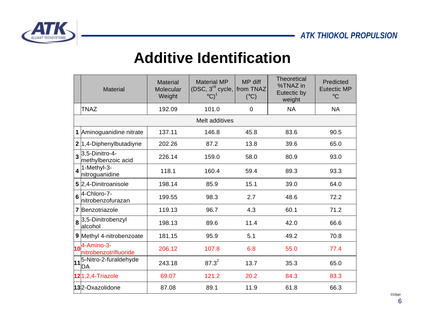

#### **Additive Identification**

|                         | <b>Material</b>                                              | <b>Material</b><br><b>Molecular</b><br>Weight | <b>Material MP</b><br>(DSC, $3^{rd}$ cycle, from TNAZ<br>$\mathrm{^{\circ}C})^1$ | MP diff<br>$(^{\circ}C)$ | <b>Theoretical</b><br>%TNAZ in<br>Eutectic by<br>weight | Predicted<br><b>Eutectic MP</b><br>$\rm ^{\circ}C$ |  |  |
|-------------------------|--------------------------------------------------------------|-----------------------------------------------|----------------------------------------------------------------------------------|--------------------------|---------------------------------------------------------|----------------------------------------------------|--|--|
|                         | <b>TNAZ</b>                                                  | 192.09                                        | 101.0                                                                            | $\Omega$                 | <b>NA</b>                                               | <b>NA</b>                                          |  |  |
|                         | Melt additives                                               |                                               |                                                                                  |                          |                                                         |                                                    |  |  |
|                         | 1 Aminoguanidine nitrate                                     | 137.11                                        | 146.8                                                                            | 45.8                     | 83.6                                                    | 90.5                                               |  |  |
|                         | 2 1,4-Diphenylbutadiyne                                      | 202.26                                        | 87.2                                                                             | 13.8                     | 39.6                                                    | 65.0                                               |  |  |
|                         | $3^{3,5-\overline{\text{Dinitro-4-}}}$<br>methylbenzoic acid | 226.14                                        | 159.0                                                                            | 58.0                     | 80.9                                                    | 93.0                                               |  |  |
| $\overline{\mathbf{A}}$ | 1-Methyl-3-<br>nitroguanidine                                | 118.1                                         | 160.4                                                                            | 59.4                     | 89.3                                                    | 93.3                                               |  |  |
|                         | 5 2,4-Dinitroanisole                                         | 198.14                                        | 85.9                                                                             | 15.1                     | 39.0                                                    | 64.0                                               |  |  |
| $6\phantom{a}$          | 4-Chloro-7-<br>Initrobenzofurazan                            | 199.55                                        | 98.3                                                                             | 2.7                      | 48.6                                                    | 72.2                                               |  |  |
|                         | 7 Benzotriazole                                              | 119.13                                        | 96.7                                                                             | 4.3                      | 60.1                                                    | 71.2                                               |  |  |
|                         | 8 <sup>3,5-Dinitrobenzyl</sup><br>lalcohol                   | 198.13                                        | 89.6                                                                             | 11.4                     | 42.0                                                    | 66.6                                               |  |  |
|                         | 9 Methyl 4-nitrobenzoate                                     | 181.15                                        | 95.9                                                                             | 5.1                      | 49.2                                                    | 70.8                                               |  |  |
|                         | $10^{4-Amin-3}$<br>nitrobenzotrifluoride                     | 206.12                                        | 107.8                                                                            | 6.8                      | 55.0                                                    | 77.4                                               |  |  |
|                         | 11 <sup>5-Nitro-2-furaldehyde</sup><br>IDA                   | 243.18                                        | $87.3^{2}$                                                                       | 13.7                     | 35.3                                                    | 65.0                                               |  |  |
|                         | 121,2,4-Triazole                                             | 69.07                                         | 121.2                                                                            | 20.2                     | 84.3                                                    | 83.3                                               |  |  |
|                         | 132-Oxazolidone                                              | 87.08                                         | 89.1                                                                             | 11.9                     | 61.8                                                    | 66.3                                               |  |  |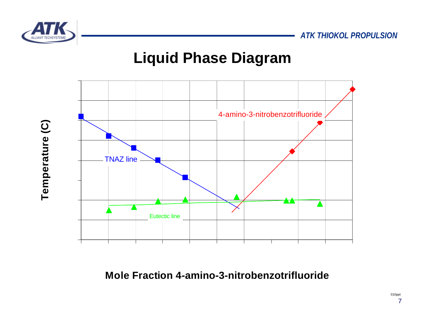*ATK THIOKOL PROPULSION*



#### **Liquid Phase Diagram**



**Mole Fraction 4-amino-3-nitrobenzotrifluoride**

Temperature (C) **Temperature (C)**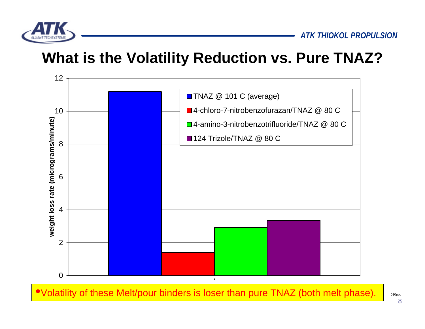

### **What is the Volatility Reduction vs. Pure TNAZ?**



•Volatility of these Melt/pour binders is loser than pure TNAZ (both melt phase).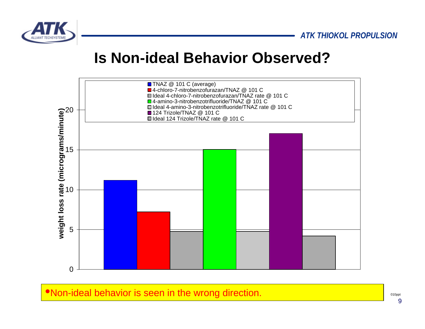

#### **Is Non-ideal Behavior Observed?**



•Non-ideal behavior is seen in the wrong direction.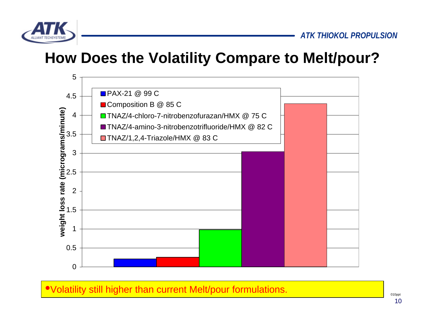

#### **How Does the Volatility Compare to Melt/pour?**



•Volatility still higher than current Melt/pour formulations.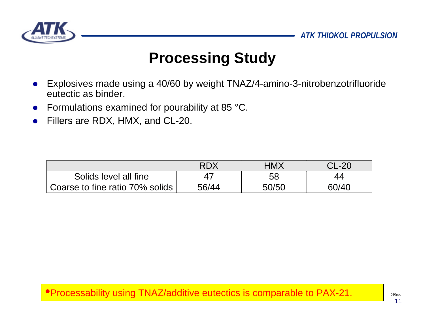

### **Processing Study**

- Explosives made using a 40/60 by weight TNAZ/4-amino-3-nitrobenzotrifluoride eutectic as binder.
- Formulations examined for pourability at 85 °C.
- Fillers are RDX, HMX, and CL-20.

|                                 | RDX   | HMX   | CL-20 |
|---------------------------------|-------|-------|-------|
| Solids level all fine           |       | 58    |       |
| Coarse to fine ratio 70% solids | 56/44 | 50/50 | 60/40 |

•Processability using TNAZ/additive eutectics is comparable to PAX-21.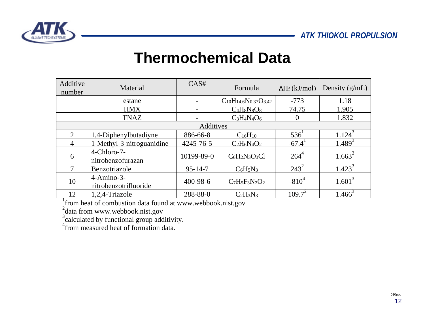

#### **Thermochemical Data**

| Additive<br>number | Material                                     | CAS#          | Formula                          | $\Delta H_f$ (kJ/mol) | Density $(g/mL)$     |  |
|--------------------|----------------------------------------------|---------------|----------------------------------|-----------------------|----------------------|--|
|                    | estane                                       |               | $C_{10}H_{14.6}N_{0.37}O_{3.42}$ | $-773$                | 1.18                 |  |
|                    | <b>HMX</b>                                   |               | $C_4H_8N_8O_8$                   | 74.75                 | 1.905                |  |
|                    | <b>TNAZ</b>                                  |               | $C_3H_4N_4O_6$                   |                       | 1.832                |  |
| Additives          |                                              |               |                                  |                       |                      |  |
| $\overline{2}$     | 1,4-Diphenylbutadiyne                        | 886-66-8      | $C_{16}H_{10}$                   | 536'                  | $1.124$ <sup>3</sup> |  |
| $\overline{4}$     | 1-Methyl-3-nitroguanidine                    | 4245-76-5     | $C_2H_6N_4O_2$                   | $-67.4$               | $1.489^{3}$          |  |
| 6                  | 4-Chloro-7-<br>nitrobenzofurazan             | 10199-89-0    | $C_6H_2N_3O_3Cl$                 | $264^{4}$             | $1.663^3$            |  |
|                    | Benzotriazole                                | $95 - 14 - 7$ | $C_6H_5N_3$                      | $243^2$               | $1.423^{3}$          |  |
| 10                 | $4 - A$ mino $-3 -$<br>nitrobenzotrifluoride | 400-98-6      | $C_7H_5F_3N_2O_2$                | $-810^{4}$            | $1.601^3$            |  |
| 12                 | 1,2,4-Triazole                               | 288-88-0      | $C_2H_3N_3$                      | $109.7^2$             | $1.466^3$            |  |

1 from heat of combustion data found at www.webbook.nist.gov

<sup>2</sup>data from www.webbook.nist.gov

<sup>3</sup>calculated by functional group additivity.

<sup>4</sup> from measured heat of formation data.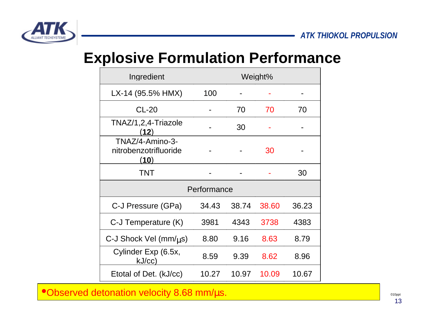

#### **Explosive Formulation Performance**

| Ingredient                                       | Weight% |       |       |       |  |  |
|--------------------------------------------------|---------|-------|-------|-------|--|--|
| LX-14 (95.5% HMX)                                | 100     |       |       |       |  |  |
| $CL-20$                                          |         | 70    | 70    | 70    |  |  |
| TNAZ/1,2,4-Triazole<br>(12)                      |         | 30    |       |       |  |  |
| TNAZ/4-Amino-3-<br>nitrobenzotrifluoride<br>(10) |         |       | 30    |       |  |  |
| <b>TNT</b>                                       |         |       |       | 30    |  |  |
| Performance                                      |         |       |       |       |  |  |
| C-J Pressure (GPa)                               | 34.43   | 38.74 | 38.60 | 36.23 |  |  |
| C-J Temperature (K)                              | 3981    | 4343  | 3738  | 4383  |  |  |
| C-J Shock Vel $\text{(mm/}\mu\text{s)}$          | 8.80    | 9.16  | 8.63  | 8.79  |  |  |
| Cylinder Exp (6.5x,<br>kJ/cc)                    | 8.59    | 9.39  | 8.62  | 8.96  |  |  |
| Etotal of Det. (kJ/cc)                           | 10.27   | 10.97 | 10.09 | 10.67 |  |  |

•Observed detonation velocity 8.68 mm/μs.